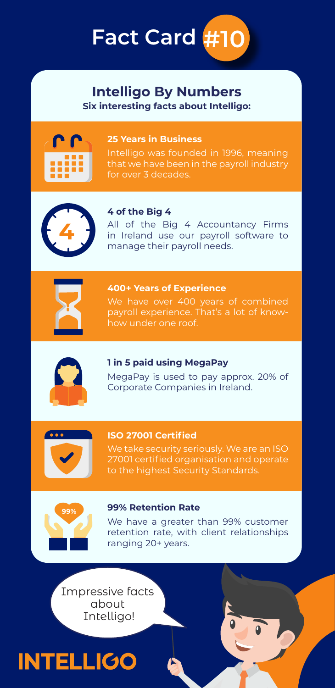

#### **Intelligo By Numbers Six interesting facts about Intelligo:**



#### **25 Years in Business**

Intelligo was founded in 1996, meaning for over 3 decades.



#### **4 of the Big 4**

All of the Big 4 Accountancy Firms in Ireland use our payroll software to manage their payroll needs.



#### **400+ Years of Experience**

how under one roof.



#### **1 in 5 paid using MegaPay**

MegaPay is used to pay approx. 20% of Corporate Companies in Ireland.



#### **ISO 27001 Certified**

27001 certified organisation and operate to the highest Security Standards.



#### **99% Retention Rate**

We have a greater than 99% customer retention rate, with client relationships ranging 20+ years.

Impressive facts about Intelligo!

### **INTELLIGO**